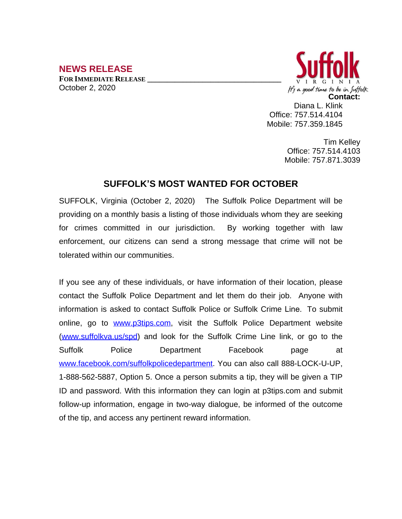## **NEWS RELEASE**

**FOR IMMEDIATE RELEASE \_\_\_\_\_\_\_\_\_\_\_\_\_\_\_\_\_\_\_\_\_\_\_\_\_\_\_\_\_\_\_\_\_\_** October 2, 2020



Diana L. Klink Office: 757.514.4104 Mobile: 757.359.1845

> Tim Kelley Office: 757.514.4103 Mobile: 757.871.3039

## **SUFFOLK'S MOST WANTED FOR OCTOBER**

SUFFOLK, Virginia (October 2, 2020) The Suffolk Police Department will be providing on a monthly basis a listing of those individuals whom they are seeking for crimes committed in our jurisdiction. By working together with law enforcement, our citizens can send a strong message that crime will not be tolerated within our communities.

If you see any of these individuals, or have information of their location, please contact the Suffolk Police Department and let them do their job. Anyone with information is asked to contact Suffolk Police or Suffolk Crime Line. To submit online, go to [www.p3tips.com](http://www.p3tips.com), visit the Suffolk Police Department website ([www.suffolkva.us/spd](http://www.suffolkva.us/spd)) and look for the Suffolk Crime Line link, or go to the Suffolk Police Department Facebook page at [www.facebook.com/suffolkpolicedepartment](http://www.facebook.com/suffolkpolicedepartment). You can also call 888-LOCK-U-UP, 1-888-562-5887, Option 5. Once a person submits a tip, they will be given a TIP ID and password. With this information they can login at p3tips.com and submit follow-up information, engage in two-way dialogue, be informed of the outcome of the tip, and access any pertinent reward information.